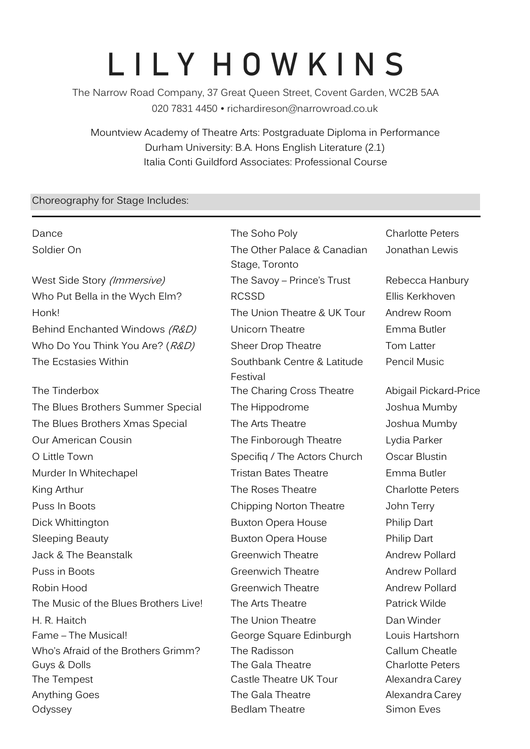# **L I L Y H O W K I N S**

The Narrow Road Company, 37 Great Queen Street, Covent Garden, WC2B 5AA 020 7831 4450 • r[ichardireson@narrowroad.co.uk](mailto:richardireson@narrowroad.co.uk)

Mountview Academy of Theatre Arts: Postgraduate Diploma in Performance Durham University: B.A. Hons English Literature (2.1) Italia Conti Guildford Associates: Professional Course

## Choreography for Stage Includes:

Dance **The Soho Poly** Charlotte Peters Soldier On The Other Palace & Canadian Stage, Toronto West Side Story (*Immersive*) The Savoy – Prince's Trust Rebecca Hanbury Who Put Bella in the Wych Elm? RCSSD Ellis Kerkhoven Honk! The Union Theatre & UK Tour Andrew Room Behind Enchanted Windows (R&D) Unicorn Theatre Finma Butler Who Do You Think You Are? (R&D) Sheer Drop Theatre Tom Latter The Ecstasies Within The Ecstasies Within Southbank Centre & Latitude Festival The Tinderbox The Charing Cross Theatre Abigail Pickard-Price The Blues Brothers Summer Special The Hippodrome Joshua Mumby The Blues Brothers Xmas Special The Arts Theatre The Arts Theatre Joshua Mumby Our American Cousin **The Finborough Theatre** Lydia Parker O Little Town **Specifiq / The Actors Church** Oscar Blustin Murder In Whitechapel **Tristan Bates Theatre** Emma Butler King Arthur The Roses Theatre Charlotte Peters Charlotte Peters Puss In Boots **Chipping Norton Theatre** John Terry Dick Whittington Buxton Opera House Philip Dart Sleeping Beauty **Buxton Opera House** Philip Dart Jack & The Beanstalk Greenwich Theatre Andrew Pollard Puss in Boots Greenwich Theatre Andrew Pollard Robin Hood **Greenwich Theatre Greenwich Theatre** Andrew Pollard The Music of the Blues Brothers Live! The Arts Theatre The Music Milde H. R. Haitch The Union Theatre Dan Winder Fame – The Musical! George Square Edinburgh The Radisson Who's Afraid of the Brothers Grimm? The Radisson Callum Cheatle Guys & Dolls **Guys & Dolls** The Gala Theatre Charlotte Peters The Tempest **Castle Theatre UK Tour** Alexandra Carey Anything Goes **The Gala Theatre** Alexandra Carey Odyssey **Bedlam Theatre** Simon Eves

Jonathan Lewis Pencil Music

Louis Hartshorn